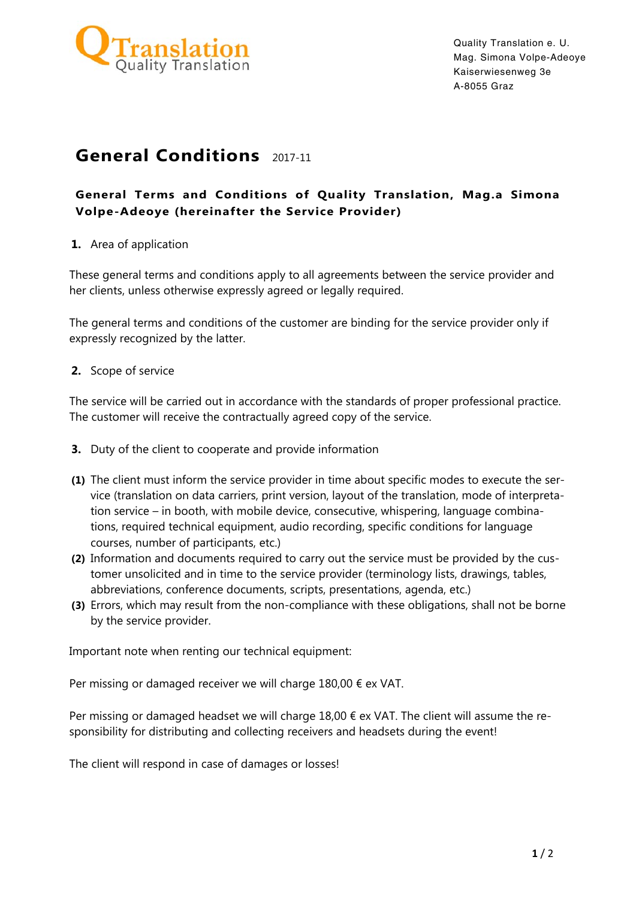

# **General Conditions** 2017-11

## **General Terms and Conditions of Quality Translation, Mag.a Simona Volpe-Adeoye (hereinafter the Service Provider)**

#### **1.** Area of application

These general terms and conditions apply to all agreements between the service provider and her clients, unless otherwise expressly agreed or legally required.

The general terms and conditions of the customer are binding for the service provider only if expressly recognized by the latter.

**2.** Scope of service

The service will be carried out in accordance with the standards of proper professional practice. The customer will receive the contractually agreed copy of the service.

- **3.** Duty of the client to cooperate and provide information
- **(1)** The client must inform the service provider in time about specific modes to execute the service (translation on data carriers, print version, layout of the translation, mode of interpretation service – in booth, with mobile device, consecutive, whispering, language combinations, required technical equipment, audio recording, specific conditions for language courses, number of participants, etc.)
- **(2)** Information and documents required to carry out the service must be provided by the customer unsolicited and in time to the service provider (terminology lists, drawings, tables, abbreviations, conference documents, scripts, presentations, agenda, etc.)
- **(3)** Errors, which may result from the non-compliance with these obligations, shall not be borne by the service provider.

Important note when renting our technical equipment:

Per missing or damaged receiver we will charge  $180,00 \notin ex$  VAT.

Per missing or damaged headset we will charge 18,00  $\epsilon$  ex VAT. The client will assume the responsibility for distributing and collecting receivers and headsets during the event!

The client will respond in case of damages or losses!